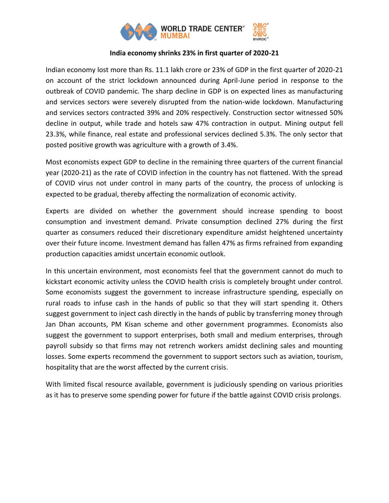

# **India economy shrinks 23% in first quarter of 2020-21**

Indian economy lost more than Rs. 11.1 lakh crore or 23% of GDP in the first quarter of 2020-21 on account of the strict lockdown announced during April-June period in response to the outbreak of COVID pandemic. The sharp decline in GDP is on expected lines as manufacturing and services sectors were severely disrupted from the nation-wide lockdown. Manufacturing and services sectors contracted 39% and 20% respectively. Construction sector witnessed 50% decline in output, while trade and hotels saw 47% contraction in output. Mining output fell 23.3%, while finance, real estate and professional services declined 5.3%. The only sector that posted positive growth was agriculture with a growth of 3.4%.

Most economists expect GDP to decline in the remaining three quarters of the current financial year (2020-21) as the rate of COVID infection in the country has not flattened. With the spread of COVID virus not under control in many parts of the country, the process of unlocking is expected to be gradual, thereby affecting the normalization of economic activity.

Experts are divided on whether the government should increase spending to boost consumption and investment demand. Private consumption declined 27% during the first quarter as consumers reduced their discretionary expenditure amidst heightened uncertainty over their future income. Investment demand has fallen 47% as firms refrained from expanding production capacities amidst uncertain economic outlook.

In this uncertain environment, most economists feel that the government cannot do much to kickstart economic activity unless the COVID health crisis is completely brought under control. Some economists suggest the government to increase infrastructure spending, especially on rural roads to infuse cash in the hands of public so that they will start spending it. Others suggest government to inject cash directly in the hands of public by transferring money through Jan Dhan accounts, PM Kisan scheme and other government programmes. Economists also suggest the government to support enterprises, both small and medium enterprises, through payroll subsidy so that firms may not retrench workers amidst declining sales and mounting losses. Some experts recommend the government to support sectors such as aviation, tourism, hospitality that are the worst affected by the current crisis.

With limited fiscal resource available, government is judiciously spending on various priorities as it has to preserve some spending power for future if the battle against COVID crisis prolongs.